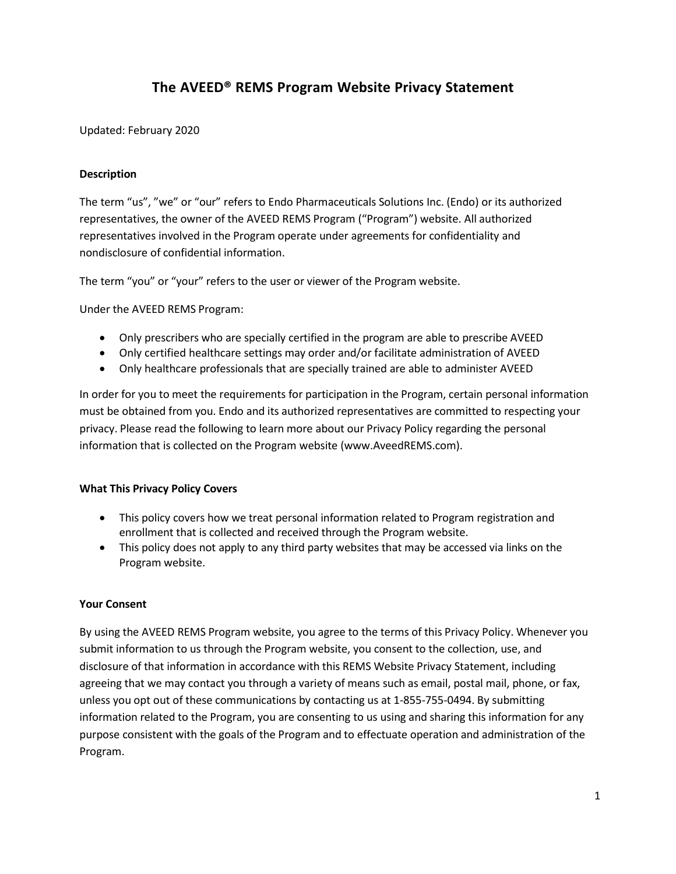# **The AVEED® REMS Program Website Privacy Statement**

# Updated: February 2020

# **Description**

The term "us", "we" or "our" refers to Endo Pharmaceuticals Solutions Inc. (Endo) or its authorized representatives, the owner of the AVEED REMS Program ("Program") website. All authorized representatives involved in the Program operate under agreements for confidentiality and nondisclosure of confidential information.

The term "you" or "your" refers to the user or viewer of the Program website.

Under the AVEED REMS Program:

- Only prescribers who are specially certified in the program are able to prescribe AVEED
- Only certified healthcare settings may order and/or facilitate administration of AVEED
- Only healthcare professionals that are specially trained are able to administer AVEED

In order for you to meet the requirements for participation in the Program, certain personal information must be obtained from you. Endo and its authorized representatives are committed to respecting your privacy. Please read the following to learn more about our Privacy Policy regarding the personal information that is collected on the Program website [\(www.AveedREMS.com\)](http://www.aveedrems.com/).

# **What This Privacy Policy Covers**

- This policy covers how we treat personal information related to Program registration and enrollment that is collected and received through the Program website.
- This policy does not apply to any third party websites that may be accessed via links on the Program website.

# **Your Consent**

By using the AVEED REMS Program website, you agree to the terms of this Privacy Policy. Whenever you submit information to us through the Program website, you consent to the collection, use, and disclosure of that information in accordance with this REMS Website Privacy Statement, including agreeing that we may contact you through a variety of means such as email, postal mail, phone, or fax, unless you opt out of these communications by contacting us at 1-855-755-0494. By submitting information related to the Program, you are consenting to us using and sharing this information for any purpose consistent with the goals of the Program and to effectuate operation and administration of the Program.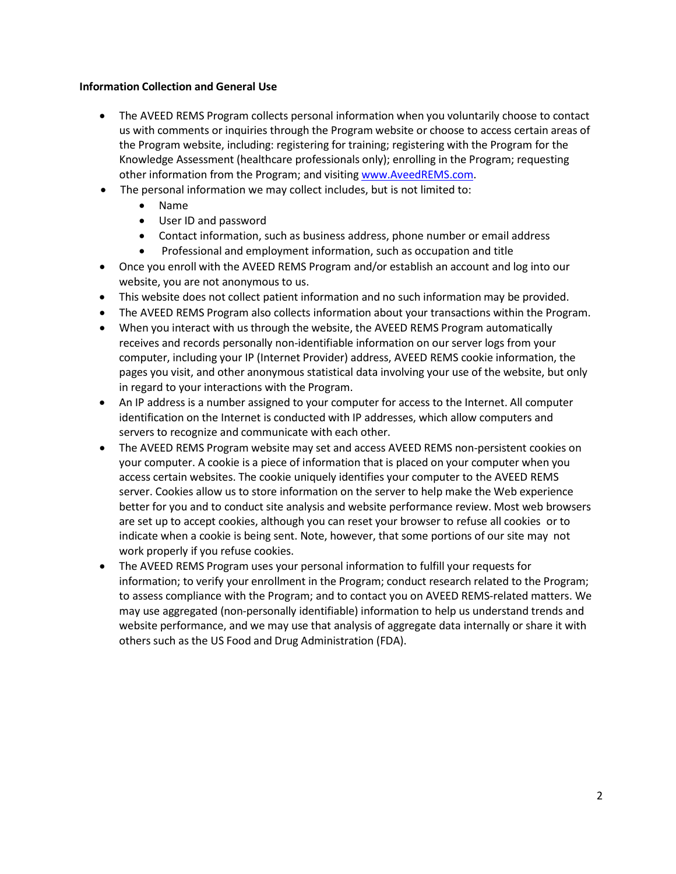# **Information Collection and General Use**

- The AVEED REMS Program collects personal information when you voluntarily choose to contact us with comments or inquiries through the Program website or choose to access certain areas of the Program website, including: registering for training; registering with the Program for the Knowledge Assessment (healthcare professionals only); enrolling in the Program; requesting other information from the Program; and visiting [www.AveedREMS.com.](http://www.aveedrems.com/)
- The personal information we may collect includes, but is not limited to:
	- Name
	- User ID and password
	- Contact information, such as business address, phone number or email address
	- Professional and employment information, such as occupation and title
- Once you enroll with the AVEED REMS Program and/or establish an account and log into our website, you are not anonymous to us.
- This website does not collect patient information and no such information may be provided.
- The AVEED REMS Program also collects information about your transactions within the Program.
- When you interact with us through the website, the AVEED REMS Program automatically receives and records personally non-identifiable information on our server logs from your computer, including your IP (Internet Provider) address, AVEED REMS cookie information, the pages you visit, and other anonymous statistical data involving your use of the website, but only in regard to your interactions with the Program.
- An IP address is a number assigned to your computer for access to the Internet. All computer identification on the Internet is conducted with IP addresses, which allow computers and servers to recognize and communicate with each other.
- The AVEED REMS Program website may set and access AVEED REMS non-persistent cookies on your computer. A cookie is a piece of information that is placed on your computer when you access certain websites. The cookie uniquely identifies your computer to the AVEED REMS server. Cookies allow us to store information on the server to help make the Web experience better for you and to conduct site analysis and website performance review. Most web browsers are set up to accept cookies, although you can reset your browser to refuse all cookies or to indicate when a cookie is being sent. Note, however, that some portions of our site may not work properly if you refuse cookies.
- The AVEED REMS Program uses your personal information to fulfill your requests for information; to verify your enrollment in the Program; conduct research related to the Program; to assess compliance with the Program; and to contact you on AVEED REMS-related matters. We may use aggregated (non-personally identifiable) information to help us understand trends and website performance, and we may use that analysis of aggregate data internally or share it with others such as the US Food and Drug Administration (FDA).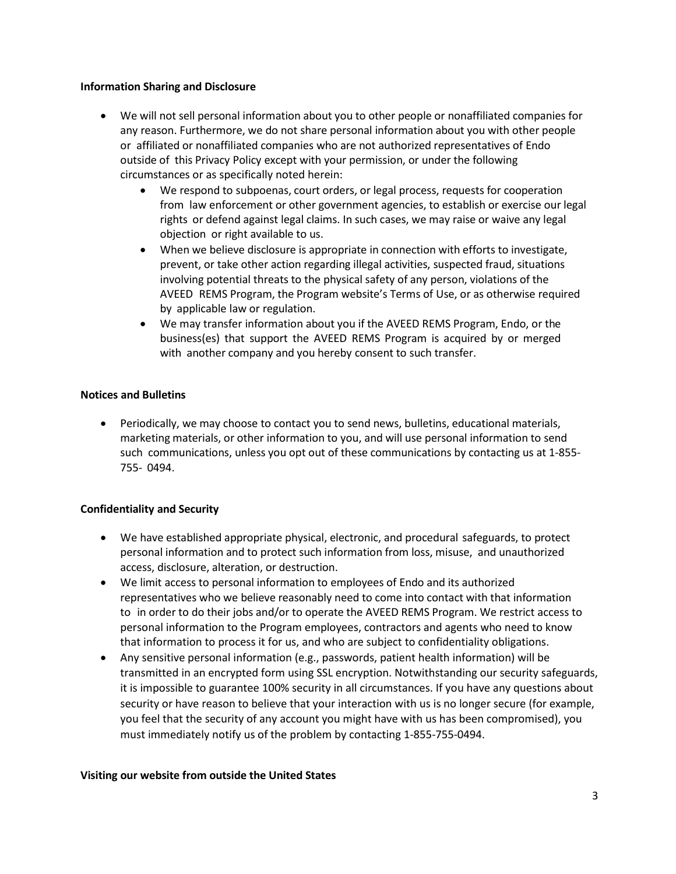#### **Information Sharing and Disclosure**

- We will not sell personal information about you to other people or nonaffiliated companies for any reason. Furthermore, we do not share personal information about you with other people or affiliated or nonaffiliated companies who are not authorized representatives of Endo outside of this Privacy Policy except with your permission, or under the following circumstances or as specifically noted herein:
	- We respond to subpoenas, court orders, or legal process, requests for cooperation from law enforcement or other government agencies, to establish or exercise our legal rights or defend against legal claims. In such cases, we may raise or waive any legal objection or right available to us.
	- When we believe disclosure is appropriate in connection with efforts to investigate, prevent, or take other action regarding illegal activities, suspected fraud, situations involving potential threats to the physical safety of any person, violations of the AVEED REMS Program, the Program website's Terms of Use, or as otherwise required by applicable law or regulation.
	- We may transfer information about you if the AVEED REMS Program, Endo, or the business(es) that support the AVEED REMS Program is acquired by or merged with another company and you hereby consent to such transfer.

# **Notices and Bulletins**

 Periodically, we may choose to contact you to send news, bulletins, educational materials, marketing materials, or other information to you, and will use personal information to send such communications, unless you opt out of these communications by contacting us at 1-855- 755- 0494.

# **Confidentiality and Security**

- We have established appropriate physical, electronic, and procedural safeguards, to protect personal information and to protect such information from loss, misuse, and unauthorized access, disclosure, alteration, or destruction.
- We limit access to personal information to employees of Endo and its authorized representatives who we believe reasonably need to come into contact with that information to in order to do their jobs and/or to operate the AVEED REMS Program. We restrict access to personal information to the Program employees, contractors and agents who need to know that information to process it for us, and who are subject to confidentiality obligations.
- Any sensitive personal information (e.g., passwords, patient health information) will be transmitted in an encrypted form using SSL encryption. Notwithstanding our security safeguards, it is impossible to guarantee 100% security in all circumstances. If you have any questions about security or have reason to believe that your interaction with us is no longer secure (for example, you feel that the security of any account you might have with us has been compromised), you must immediately notify us of the problem by contacting 1-855-755-0494.

# **Visiting our website from outside the United States**